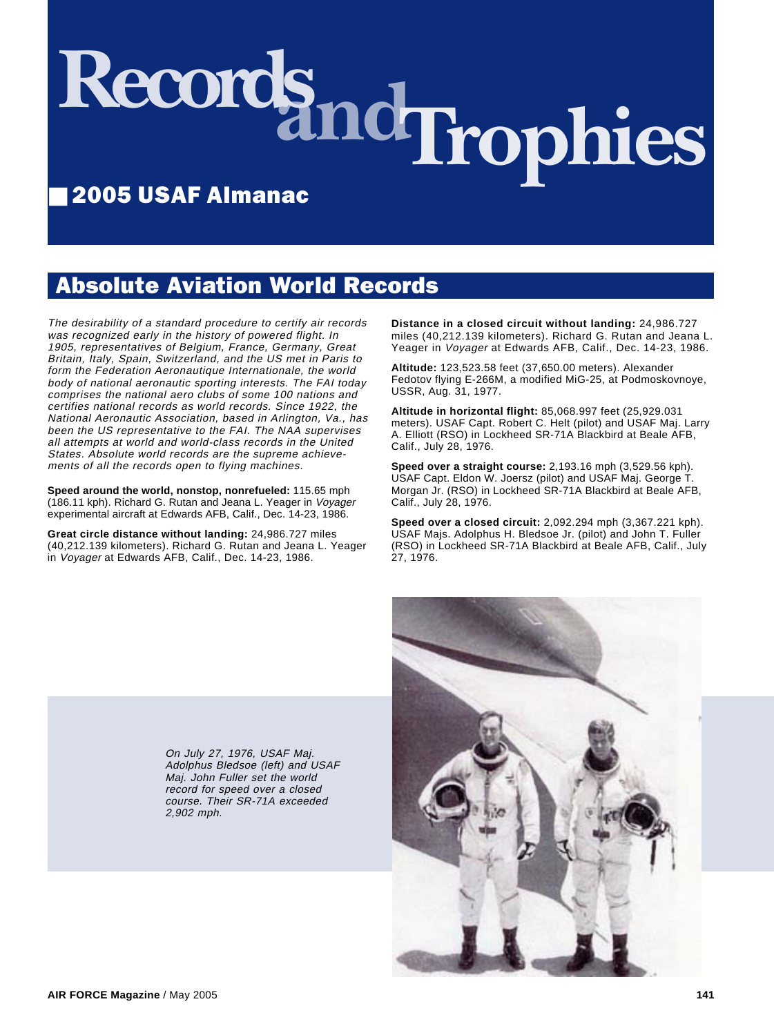# Records and **Trophies**

# ■ 2005 USAF Almanac

# Absolute Aviation World Records

The desirability of a standard procedure to certify air records was recognized early in the history of powered flight. In 1905, representatives of Belgium, France, Germany, Great Britain, Italy, Spain, Switzerland, and the US met in Paris to form the Federation Aeronautique Internationale, the world body of national aeronautic sporting interests. The FAI today comprises the national aero clubs of some 100 nations and certifies national records as world records. Since 1922, the National Aeronautic Association, based in Arlington, Va., has been the US representative to the FAI. The NAA supervises all attempts at world and world-class records in the United States. Absolute world records are the supreme achievements of all the records open to flying machines.

**Speed around the world, nonstop, nonrefueled:** 115.65 mph (186.11 kph). Richard G. Rutan and Jeana L. Yeager in Voyager experimental aircraft at Edwards AFB, Calif., Dec. 14-23, 1986.

**Great circle distance without landing:** 24,986.727 miles (40,212.139 kilometers). Richard G. Rutan and Jeana L. Yeager in Voyager at Edwards AFB, Calif., Dec. 14-23, 1986.

**Distance in a closed circuit without landing:** 24,986.727 miles (40,212.139 kilometers). Richard G. Rutan and Jeana L. Yeager in Voyager at Edwards AFB, Calif., Dec. 14-23, 1986.

**Altitude:** 123,523.58 feet (37,650.00 meters). Alexander Fedotov flying E-266M, a modified MiG-25, at Podmoskovnoye, USSR, Aug. 31, 1977.

**Altitude in horizontal flight:** 85,068.997 feet (25,929.031 meters). USAF Capt. Robert C. Helt (pilot) and USAF Maj. Larry A. Elliott (RSO) in Lockheed SR-71A Blackbird at Beale AFB, Calif., July 28, 1976.

**Speed over a straight course:** 2,193.16 mph (3,529.56 kph). USAF Capt. Eldon W. Joersz (pilot) and USAF Maj. George T. Morgan Jr. (RSO) in Lockheed SR-71A Blackbird at Beale AFB, Calif., July 28, 1976.

**Speed over a closed circuit:** 2,092.294 mph (3,367.221 kph). USAF Majs. Adolphus H. Bledsoe Jr. (pilot) and John T. Fuller (RSO) in Lockheed SR-71A Blackbird at Beale AFB, Calif., July 27, 1976.



On July 27, 1976, USAF Maj. Adolphus Bledsoe (left) and USAF Maj. John Fuller set the world record for speed over a closed course. Their SR-71A exceeded 2,902 mph.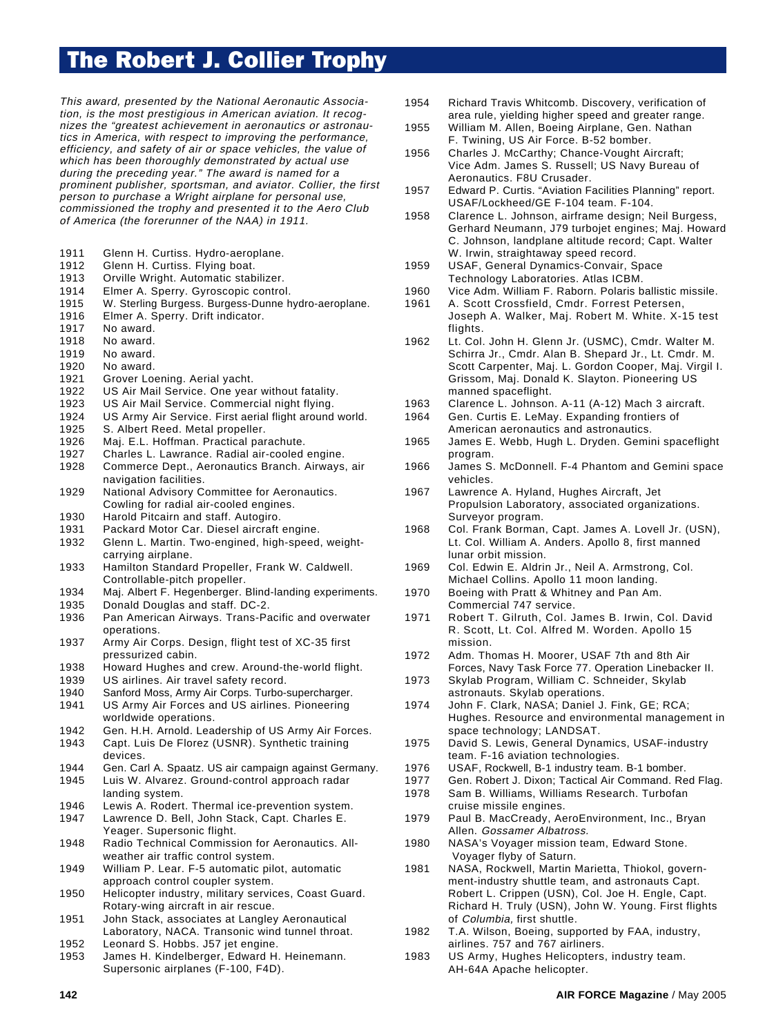# The Robert J. Collier Trophy

This award, presented by the National Aeronautic Association, is the most prestigious in American aviation. It recognizes the "greatest achievement in aeronautics or astronautics in America, with respect to improving the performance, efficiency, and safety of air or space vehicles, the value of which has been thoroughly demonstrated by actual use during the preceding year." The award is named for a prominent publisher, sportsman, and aviator. Collier, the first person to purchase a Wright airplane for personal use, commissioned the trophy and presented it to the Aero Club of America (the forerunner of the NAA) in 1911.

- 1911 Glenn H. Curtiss. Hydro-aeroplane.<br>1912 Glenn H. Curtiss. Flying boat.
- Glenn H. Curtiss. Flying boat.
- 1913 Orville Wright. Automatic stabilizer.<br>1914 Elmer A. Sperry. Gyroscopic contro
- Elmer A. Sperry. Gyroscopic control.
- 1915 W. Sterling Burgess. Burgess-Dunne hydro-aeroplane.
- 1916 Elmer A. Sperry. Drift indicator.
- 1917 No award.
- 1918 No award.
- 1919 No award.
- 1920 No award.
- 1921 Grover Loening. Aerial yacht.
- 1922 US Air Mail Service. One year without fatality.
- 1923 US Air Mail Service. Commercial night flying.
- 1924 US Army Air Service. First aerial flight around world.
- 1925 S. Albert Reed. Metal propeller.
- 1926 Maj. E.L. Hoffman. Practical parachute.
- 1927 Charles L. Lawrance. Radial air-cooled engine.
- 1928 Commerce Dept., Aeronautics Branch. Airways, air navigation facilities.
- 1929 National Advisory Committee for Aeronautics. Cowling for radial air-cooled engines.
- 1930 Harold Pitcairn and staff. Autogiro.
- 1931 Packard Motor Car. Diesel aircraft engine.
- 1932 Glenn L. Martin. Two-engined, high-speed, weightcarrying airplane.
- 1933 Hamilton Standard Propeller, Frank W. Caldwell. Controllable-pitch propeller.
- 1934 Maj. Albert F. Hegenberger. Blind-landing experiments.
- 1935 Donald Douglas and staff. DC-2.
- 1936 Pan American Airways. Trans-Pacific and overwater operations.
- 1937 Army Air Corps. Design, flight test of XC-35 first pressurized cabin.
- 1938 Howard Hughes and crew. Around-the-world flight.
- 1939 US airlines. Air travel safety record.
- 1940 Sanford Moss, Army Air Corps. Turbo-supercharger.<br>1941 US Army Air Forces and US airlines. Pioneering
- US Army Air Forces and US airlines. Pioneering
- worldwide operations. 1942 Gen. H.H. Arnold. Leadership of US Army Air Forces.
- 1943 Capt. Luis De Florez (USNR). Synthetic training devices.
- 1944 Gen. Carl A. Spaatz. US air campaign against Germany.
- 1945 Luis W. Alvarez. Ground-control approach radar landing system.
- 1946 Lewis A. Rodert. Thermal ice-prevention system.
- 1947 Lawrence D. Bell, John Stack, Capt. Charles E. Yeager. Supersonic flight.
- 1948 Radio Technical Commission for Aeronautics. Allweather air traffic control system.
- 1949 William P. Lear. F-5 automatic pilot, automatic approach control coupler system.
- 1950 Helicopter industry, military services, Coast Guard. Rotary-wing aircraft in air rescue.
- 1951 John Stack, associates at Langley Aeronautical Laboratory, NACA. Transonic wind tunnel throat.
- 1952 Leonard S. Hobbs. J57 jet engine.
- 1953 James H. Kindelberger, Edward H. Heinemann. Supersonic airplanes (F-100, F4D).
- 1954 Richard Travis Whitcomb. Discovery, verification of area rule, yielding higher speed and greater range.
- 1955 William M. Allen, Boeing Airplane, Gen. Nathan F. Twining, US Air Force. B-52 bomber.
- 1956 Charles J. McCarthy; Chance-Vought Aircraft; Vice Adm. James S. Russell; US Navy Bureau of Aeronautics. F8U Crusader.
- 1957 Edward P. Curtis. "Aviation Facilities Planning" report. USAF/Lockheed/GE F-104 team. F-104.
- 1958 Clarence L. Johnson, airframe design; Neil Burgess, Gerhard Neumann, J79 turbojet engines; Maj. Howard C. Johnson, landplane altitude record; Capt. Walter W. Irwin, straightaway speed record.
- 1959 USAF, General Dynamics-Convair, Space Technology Laboratories. Atlas ICBM.
- 1960 Vice Adm. William F. Raborn. Polaris ballistic missile.
- 1961 A. Scott Crossfield, Cmdr. Forrest Petersen, Joseph A. Walker, Maj. Robert M. White. X-15 test flights
- 1962 Lt. Col. John H. Glenn Jr. (USMC), Cmdr. Walter M. Schirra Jr., Cmdr. Alan B. Shepard Jr., Lt. Cmdr. M. Scott Carpenter, Maj. L. Gordon Cooper, Maj. Virgil I. Grissom, Maj. Donald K. Slayton. Pioneering US manned spaceflight.
- 1963 Clarence L. Johnson. A-11 (A-12) Mach 3 aircraft.
- 1964 Gen. Curtis E. LeMay. Expanding frontiers of American aeronautics and astronautics.
- 1965 James E. Webb, Hugh L. Dryden. Gemini spaceflight program.
- 1966 James S. McDonnell. F-4 Phantom and Gemini space vehicles.
- 1967 Lawrence A. Hyland, Hughes Aircraft, Jet Propulsion Laboratory, associated organizations. Surveyor program.
- 1968 Col. Frank Borman, Capt. James A. Lovell Jr. (USN), Lt. Col. William A. Anders. Apollo 8, first manned lunar orbit mission.
- 1969 Col. Edwin E. Aldrin Jr., Neil A. Armstrong, Col. Michael Collins. Apollo 11 moon landing.
- 1970 Boeing with Pratt & Whitney and Pan Am. Commercial 747 service.
- 1971 Robert T. Gilruth, Col. James B. Irwin, Col. David R. Scott, Lt. Col. Alfred M. Worden. Apollo 15 mission.
- 1972 Adm. Thomas H. Moorer, USAF 7th and 8th Air Forces, Navy Task Force 77. Operation Linebacker II.
- 1973 Skylab Program, William C. Schneider, Skylab astronauts. Skylab operations.
- 1974 John F. Clark, NASA; Daniel J. Fink, GE; RCA; Hughes. Resource and environmental management in space technology; LANDSAT.
- 1975 David S. Lewis, General Dynamics, USAF-industry team. F-16 aviation technologies.
- 1976 USAF, Rockwell, B-1 industry team. B-1 bomber.
- 1977 Gen. Robert J. Dixon; Tactical Air Command. Red Flag.
- 1978 Sam B. Williams, Williams Research. Turbofan cruise missile engines.
- 1979 Paul B. MacCready, AeroEnvironment, Inc., Bryan Allen. Gossamer Albatross.
- 1980 NASA's Voyager mission team, Edward Stone. Voyager flyby of Saturn.
- 1981 NASA, Rockwell, Martin Marietta, Thiokol, government-industry shuttle team, and astronauts Capt. Robert L. Crippen (USN), Col. Joe H. Engle, Capt. Richard H. Truly (USN), John W. Young. First flights of Columbia, first shuttle.
- 1982 T.A. Wilson, Boeing, supported by FAA, industry, airlines. 757 and 767 airliners.
- 1983 US Army, Hughes Helicopters, industry team. AH-64A Apache helicopter.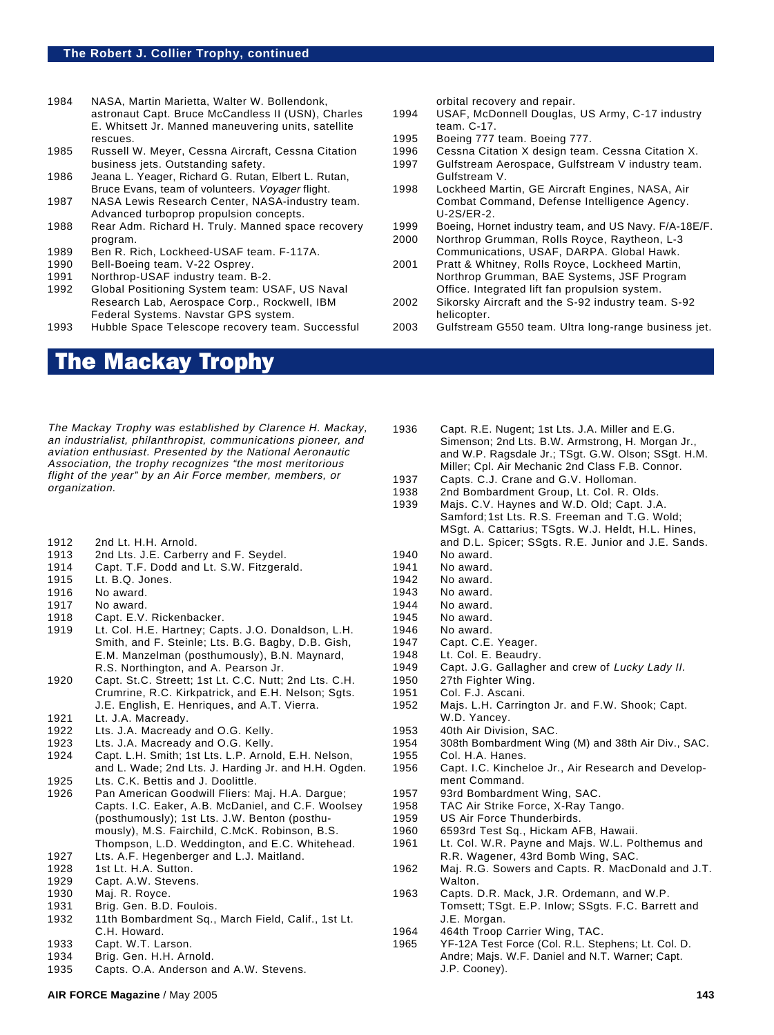- 1984 NASA, Martin Marietta, Walter W. Bollendonk, astronaut Capt. Bruce McCandless II (USN), Charles E. Whitsett Jr. Manned maneuvering units, satellite rescues.
- 1985 Russell W. Meyer, Cessna Aircraft, Cessna Citation business jets. Outstanding safety.
- 1986 Jeana L. Yeager, Richard G. Rutan, Elbert L. Rutan, Bruce Evans, team of volunteers. Voyager flight.
- 1987 NASA Lewis Research Center, NASA-industry team. Advanced turboprop propulsion concepts.
- 1988 Rear Adm. Richard H. Truly. Manned space recovery program.
- 1989 Ben R. Rich, Lockheed-USAF team. F-117A.
- 1990 Bell-Boeing team. V-22 Osprey.
- 1991 Northrop-USAF industry team. B-2.
- 1992 Global Positioning System team: USAF, US Naval Research Lab, Aerospace Corp., Rockwell, IBM Federal Systems. Navstar GPS system.
- 1993 Hubble Space Telescope recovery team. Successful

# The Mackay Trophy

The Mackay Trophy was established by Clarence H. Mackay, an industrialist, philanthropist, communications pioneer, and aviation enthusiast. Presented by the National Aeronautic Association, the trophy recognizes "the most meritorious flight of the year" by an Air Force member, members, or organization.

- 1912 2nd Lt. H.H. Arnold.
- 1913 2nd Lts. J.E. Carberry and F. Seydel.
- 1914 Capt. T.F. Dodd and Lt. S.W. Fitzgerald.
- 1915 Lt. B.Q. Jones.
- 1916 No award.
- 1917 No award.
- 1918 Capt. E.V. Rickenbacker.
- 1919 Lt. Col. H.E. Hartney; Capts. J.O. Donaldson, L.H. Smith, and F. Steinle; Lts. B.G. Bagby, D.B. Gish, E.M. Manzelman (posthumously), B.N. Maynard, R.S. Northington, and A. Pearson Jr.
- 1920 Capt. St.C. Streett; 1st Lt. C.C. Nutt; 2nd Lts. C.H. Crumrine, R.C. Kirkpatrick, and E.H. Nelson; Sgts. J.E. English, E. Henriques, and A.T. Vierra.
- 1921 Lt. J.A. Macready.
- 1922 Lts. J.A. Macready and O.G. Kelly.
- 1923 Lts. J.A. Macready and O.G. Kelly.
- 1924 Capt. L.H. Smith; 1st Lts. L.P. Arnold, E.H. Nelson, and L. Wade; 2nd Lts. J. Harding Jr. and H.H. Ogden.
- 1925 Lts. C.K. Bettis and J. Doolittle.
- 1926 Pan American Goodwill Fliers: Maj. H.A. Dargue; Capts. I.C. Eaker, A.B. McDaniel, and C.F. Woolsey (posthumously); 1st Lts. J.W. Benton (posthumously), M.S. Fairchild, C.McK. Robinson, B.S. Thompson, L.D. Weddington, and E.C. Whitehead.
- 1927 Lts. A.F. Hegenberger and L.J. Maitland.
- 1928 1st Lt. H.A. Sutton.
- 1929 Capt. A.W. Stevens.
- 1930 Maj. R. Royce.
- 1931 Brig. Gen. B.D. Foulois.
- 1932 11th Bombardment Sq., March Field, Calif., 1st Lt. C.H. Howard.
- 1933 Capt. W.T. Larson.
- 1934 Brig. Gen. H.H. Arnold.
- 1935 Capts. O.A. Anderson and A.W. Stevens.

orbital recovery and repair.

- 1994 USAF, McDonnell Douglas, US Army, C-17 industry team. C-17.
- 1995 Boeing 777 team. Boeing 777.
- 1996 Cessna Citation X design team. Cessna Citation X.
- 1997 Gulfstream Aerospace, Gulfstream V industry team. Gulfstream V.
- 1998 Lockheed Martin, GE Aircraft Engines, NASA, Air Combat Command, Defense Intelligence Agency. U-2S/ER-2.
- 1999 Boeing, Hornet industry team, and US Navy. F/A-18E/F.
- 2000 Northrop Grumman, Rolls Royce, Raytheon, L-3 Communications, USAF, DARPA. Global Hawk.
- 2001 Pratt & Whitney, Rolls Royce, Lockheed Martin, Northrop Grumman, BAE Systems, JSF Program Office. Integrated lift fan propulsion system.
- 2002 Sikorsky Aircraft and the S-92 industry team. S-92 helicopter.

1936 Capt. R.E. Nugent; 1st Lts. J.A. Miller and E.G.

- 2003 Gulfstream G550 team. Ultra long-range business jet.
- Simenson; 2nd Lts. B.W. Armstrong, H. Morgan Jr., and W.P. Ragsdale Jr.; TSgt. G.W. Olson; SSgt. H.M. Miller; Cpl. Air Mechanic 2nd Class F.B. Connor. 1937 Capts. C.J. Crane and G.V. Holloman. 1938 2nd Bombardment Group, Lt. Col. R. Olds. 1939 Majs. C.V. Haynes and W.D. Old; Capt. J.A. Samford;1st Lts. R.S. Freeman and T.G. Wold; MSgt. A. Cattarius; TSgts. W.J. Heldt, H.L. Hines, and D.L. Spicer; SSgts. R.E. Junior and J.E. Sands. 1940 No award. 1941 No award. 1942 No award. 1943 No award.<br>1944 No award. No award.
- 1945 No award.
- 
- 1946 No award.<br>1947 Capt. C.E. Capt. C.E. Yeager.
- 1948 Lt. Col. E. Beaudry.
- 1949 Capt. J.G. Gallagher and crew of Lucky Lady II.
- 1950 27th Fighter Wing.
- 1951 Col. F.J. Ascani.<br>1952 Mais. L.H. Carrin
- Majs. L.H. Carrington Jr. and F.W. Shook; Capt. W.D. Yancey.
- 1953 40th Air Division, SAC.
- 1954 308th Bombardment Wing (M) and 38th Air Div., SAC. 1955 Col. H.A. Hanes.
- 1956 Capt. I.C. Kincheloe Jr., Air Research and Development Command.
- 1957 93rd Bombardment Wing, SAC.
- 1958 TAC Air Strike Force, X-Ray Tango.
- 1959 US Air Force Thunderbirds.
- 1960 6593rd Test Sq., Hickam AFB, Hawaii.
- 1961 Lt. Col. W.R. Payne and Majs. W.L. Polthemus and R.R. Wagener, 43rd Bomb Wing, SAC.
- 1962 Maj. R.G. Sowers and Capts. R. MacDonald and J.T. Walton.
- 1963 Capts. D.R. Mack, J.R. Ordemann, and W.P. Tomsett; TSgt. E.P. Inlow; SSgts. F.C. Barrett and J.E. Morgan.
- 1964 464th Troop Carrier Wing, TAC.
- 1965 YF-12A Test Force (Col. R.L. Stephens; Lt. Col. D. Andre; Majs. W.F. Daniel and N.T. Warner; Capt. J.P. Cooney).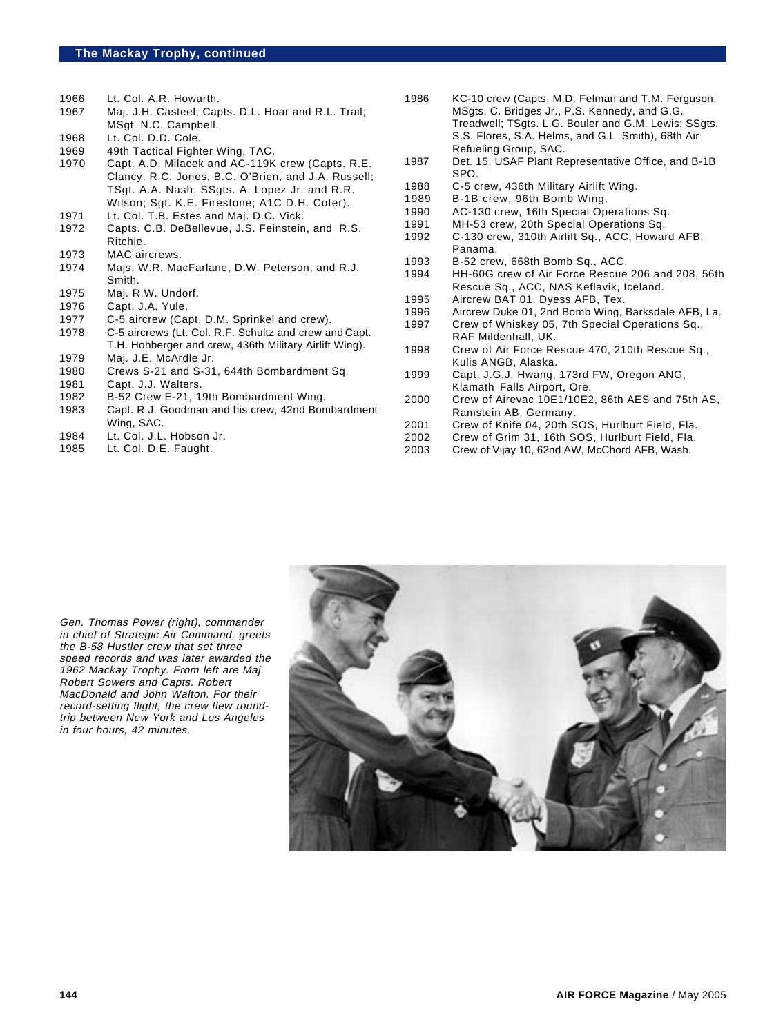- 1966 Lt. Col. A.R. Howarth.
- 1967 Maj. J.H. Casteel; Capts. D.L. Hoar and R.L. Trail; MSgt. N.C. Campbell.
- 1968 Lt. Col. D.D. Cole.
- 1969 49th Tactical Fighter Wing, TAC.<br>1970 Capt, A.D. Milacek and AC-119k
- Capt. A.D. Milacek and AC-119K crew (Capts. R.E. Clancy, R.C. Jones, B.C. O'Brien, and J.A. Russell; TSgt. A.A. Nash; SSgts. A. Lopez Jr. and R.R. Wilson; Sgt. K.E. Firestone; A1C D.H. Cofer).
- 1971 Lt. Col. T.B. Estes and Maj. D.C. Vick.
- 1972 Capts. C.B. DeBellevue, J.S. Feinstein, and R.S. Ritchie.
- 1973 MAC aircrews.
- 1974 Majs. W.R. MacFarlane, D.W. Peterson, and R.J. Smith.
- 1975 Maj. R.W. Undorf.
- 1976 Capt. J.A. Yule.
- 1977 C-5 aircrew (Capt. D.M. Sprinkel and crew).
- 1978 C-5 aircrews (Lt. Col. R.F. Schultz and crew and Capt. T.H. Hohberger and crew, 436th Military Airlift Wing).
- 1979 Maj. J.E. McArdle Jr.<br>1980 Crews S-21 and S-31
- 1980 Crews S-21 and S-31, 644th Bombardment Sq.<br>1981 Capt. J.J. Walters.
- 1981 Capt. J.J. Walters.<br>1982 B-52 Crew E-21. 19
- B-52 Crew E-21, 19th Bombardment Wing.
- 1983 Capt. R.J. Goodman and his crew, 42nd Bombardment Wing, SAC.
- 1984 Lt. Col. J.L. Hobson Jr.
- 1985 Lt. Col. D.E. Faught.
- 1986 KC-10 crew (Capts. M.D. Felman and T.M. Ferguson; MSgts. C. Bridges Jr., P.S. Kennedy, and G.G. Treadwell; TSgts. L.G. Bouler and G.M. Lewis; SSgts. S.S. Flores, S.A. Helms, and G.L. Smith), 68th Air Refueling Group, SAC.
- 1987 Det. 15, USAF Plant Representative Office, and B-1B SPO.
- 1988 C-5 crew, 436th Military Airlift Wing.
- 1989 B-1B crew, 96th Bomb Wing.<br>1990 AC-130 crew, 16th Special Op
- 1990 AC-130 crew, 16th Special Operations Sq.
- 1991 MH-53 crew, 20th Special Operations Sq.<br>1992 C-130 crew, 310th Airlift Sq., ACC, Howar
- C-130 crew, 310th Airlift Sq., ACC, Howard AFB, Panama.
- 1993 B-52 crew, 668th Bomb Sq., ACC.<br>1994 HH-60G crew of Air Force Rescue
- HH-60G crew of Air Force Rescue 206 and 208, 56th Rescue Sq., ACC, NAS Keflavik, Iceland.
- 1995 Aircrew BAT 01, Dyess AFB, Tex.<br>1996 Aircrew Duke 01, 2nd Bomb Wing.
- 1996 Aircrew Duke 01, 2nd Bomb Wing, Barksdale AFB, La.<br>1997 Crew of Whiskey 05, 7th Special Operations Sq.,
- Crew of Whiskey 05, 7th Special Operations Sq., RAF Mildenhall, UK.
- 1998 Crew of Air Force Rescue 470, 210th Rescue Sq., Kulis ANGB, Alaska.
- 1999 Capt. J.G.J. Hwang, 173rd FW, Oregon ANG, Klamath Falls Airport, Ore.
- 2000 Crew of Airevac 10E1/10E2, 86th AES and 75th AS, Ramstein AB, Germany.
- 2001 Crew of Knife 04, 20th SOS, Hurlburt Field, Fla.
- 2002 Crew of Grim 31, 16th SOS, Hurlburt Field, Fla.<br>2003 Crew of Viiav 10. 62nd AW. McChord AFB. Wash.
- Crew of Vijay 10, 62nd AW, McChord AFB, Wash.

Gen. Thomas Power (right), commander in chief of Strategic Air Command, greets the B-58 Hustler crew that set three speed records and was later awarded the 1962 Mackay Trophy. From left are Maj. Robert Sowers and Capts. Robert MacDonald and John Walton. For their record-setting flight, the crew flew roundtrip between New York and Los Angeles in four hours, 42 minutes.